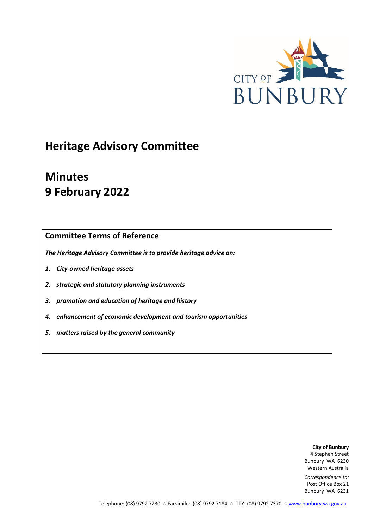

# **Heritage Advisory Committee**

# **Minutes 9 February 2022**

# **Committee Terms of Reference**

*The Heritage Advisory Committee is to provide heritage advice on:*

- *1. City-owned heritage assets*
- *2. strategic and statutory planning instruments*
- *3. promotion and education of heritage and history*
- *4. enhancement of economic development and tourism opportunities*
- *5. matters raised by the general community*

**City of Bunbury** 4 Stephen Street Bunbury WA 6230 Western Australia

*Correspondence to:* Post Office Box 21 Bunbury WA 6231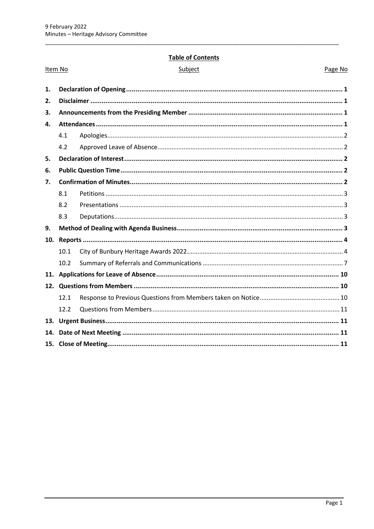#### **Table of Contents**

| Item No |      | Subject | Page No |
|---------|------|---------|---------|
| 1.      |      |         |         |
| 2.      |      |         |         |
| 3.      |      |         |         |
| 4.      |      |         |         |
|         | 4.1  |         |         |
|         | 4.2  |         |         |
| 5.      |      |         |         |
| 6.      |      |         |         |
| 7.      |      |         |         |
|         | 8.1  |         |         |
|         | 8.2  |         |         |
|         | 8.3  |         |         |
| 9.      |      |         |         |
| 10.     |      |         |         |
|         | 10.1 |         |         |
|         | 10.2 |         |         |
|         |      |         |         |
|         |      |         |         |
|         | 12.1 |         |         |
|         | 12.2 |         |         |
|         |      |         |         |
|         |      |         |         |
|         |      |         |         |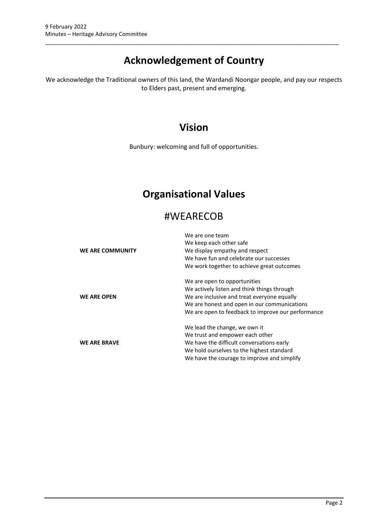# **Acknowledgement of Country**

\_\_\_\_\_\_\_\_\_\_\_\_\_\_\_\_\_\_\_\_\_\_\_\_\_\_\_\_\_\_\_\_\_\_\_\_\_\_\_\_\_\_\_\_\_\_\_\_\_\_\_\_\_\_\_\_\_\_\_\_\_\_\_\_\_\_\_\_\_\_\_\_\_\_\_\_\_\_\_\_\_\_\_\_\_\_\_\_\_\_\_\_\_\_

We acknowledge the Traditional owners of this land, the Wardandi Noongar people, and pay our respects to Elders past, present and emerging.

# **Vision**

Bunbury: welcoming and full of opportunities.

# **Organisational Values**

# #WEARECOB

|                         | We are one team                                    |  |  |
|-------------------------|----------------------------------------------------|--|--|
|                         | We keep each other safe                            |  |  |
| <b>WE ARE COMMUNITY</b> | We display empathy and respect                     |  |  |
|                         | We have fun and celebrate our successes            |  |  |
|                         | We work together to achieve great outcomes         |  |  |
|                         | We are open to opportunities                       |  |  |
|                         | We actively listen and think things through        |  |  |
| <b>WE ARE OPEN</b>      | We are inclusive and treat everyone equally        |  |  |
|                         | We are honest and open in our communications       |  |  |
|                         | We are open to feedback to improve our performance |  |  |
|                         | We lead the change, we own it                      |  |  |
|                         | We trust and empower each other                    |  |  |
| <b>WE ARE BRAVE</b>     | We have the difficult conversations early          |  |  |
|                         | We hold ourselves to the highest standard          |  |  |
|                         | We have the courage to improve and simplify        |  |  |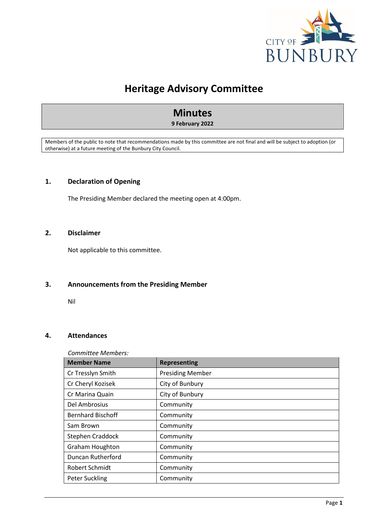

# **Heritage Advisory Committee**

# **Minutes**

#### **9 February 2022**

Members of the public to note that recommendations made by this committee are not final and will be subject to adoption (or otherwise) at a future meeting of the Bunbury City Council.

#### <span id="page-3-0"></span>**1. Declaration of Opening**

The Presiding Member declared the meeting open at 4:00pm.

#### <span id="page-3-1"></span>**2. Disclaimer**

Not applicable to this committee.

#### <span id="page-3-2"></span>**3. Announcements from the Presiding Member**

Nil

#### <span id="page-3-3"></span>**4. Attendances**

#### *Committee Members:*

| <b>Member Name</b>       | <b>Representing</b>     |
|--------------------------|-------------------------|
| Cr Tresslyn Smith        | <b>Presiding Member</b> |
| Cr Cheryl Kozisek        | City of Bunbury         |
| Cr Marina Quain          | City of Bunbury         |
| Del Ambrosius            | Community               |
| <b>Bernhard Bischoff</b> | Community               |
| Sam Brown                | Community               |
| Stephen Craddock         | Community               |
| <b>Graham Houghton</b>   | Community               |
| Duncan Rutherford        | Community               |
| <b>Robert Schmidt</b>    | Community               |
| Peter Suckling           | Community               |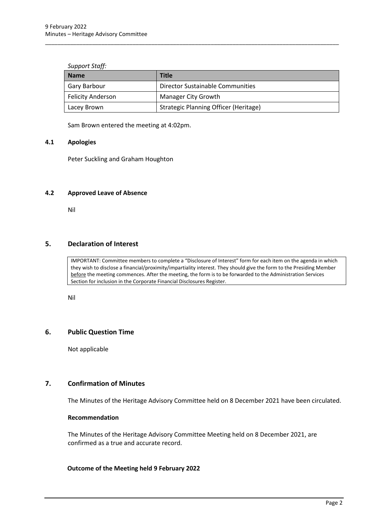| <b>Support Staff:</b> |  |
|-----------------------|--|
|-----------------------|--|

| <b>Name</b>              | Title                                 |  |  |
|--------------------------|---------------------------------------|--|--|
| Gary Barbour             | Director Sustainable Communities      |  |  |
| <b>Felicity Anderson</b> | <b>Manager City Growth</b>            |  |  |
| Lacey Brown              | Strategic Planning Officer (Heritage) |  |  |

\_\_\_\_\_\_\_\_\_\_\_\_\_\_\_\_\_\_\_\_\_\_\_\_\_\_\_\_\_\_\_\_\_\_\_\_\_\_\_\_\_\_\_\_\_\_\_\_\_\_\_\_\_\_\_\_\_\_\_\_\_\_\_\_\_\_\_\_\_\_\_\_\_\_\_\_\_\_\_\_\_\_\_\_\_\_\_\_\_\_\_\_\_\_

Sam Brown entered the meeting at 4:02pm.

#### <span id="page-4-0"></span>**4.1 Apologies**

Peter Suckling and Graham Houghton

#### <span id="page-4-1"></span>**4.2 Approved Leave of Absence**

Nil

## <span id="page-4-2"></span>**5. Declaration of Interest**

IMPORTANT: Committee members to complete a "Disclosure of Interest" form for each item on the agenda in which they wish to disclose a financial/proximity/impartiality interest. They should give the form to the Presiding Member before the meeting commences. After the meeting, the form is to be forwarded to the Administration Services Section for inclusion in the Corporate Financial Disclosures Register.

Nil

#### <span id="page-4-3"></span>**6. Public Question Time**

Not applicable

#### <span id="page-4-4"></span>**7. Confirmation of Minutes**

The Minutes of the Heritage Advisory Committee held on 8 December 2021 have been circulated.

#### **Recommendation**

The Minutes of the Heritage Advisory Committee Meeting held on 8 December 2021, are confirmed as a true and accurate record.

#### **Outcome of the Meeting held 9 February 2022**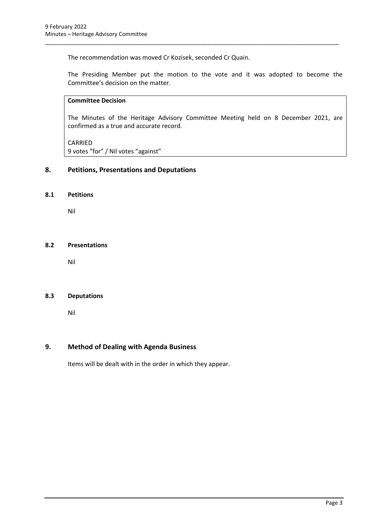The recommendation was moved Cr Kozisek, seconded Cr Quain.

The Presiding Member put the motion to the vote and it was adopted to become the Committee's decision on the matter.

\_\_\_\_\_\_\_\_\_\_\_\_\_\_\_\_\_\_\_\_\_\_\_\_\_\_\_\_\_\_\_\_\_\_\_\_\_\_\_\_\_\_\_\_\_\_\_\_\_\_\_\_\_\_\_\_\_\_\_\_\_\_\_\_\_\_\_\_\_\_\_\_\_\_\_\_\_\_\_\_\_\_\_\_\_\_\_\_\_\_\_\_\_\_

# **Committee Decision**

The Minutes of the Heritage Advisory Committee Meeting held on 8 December 2021, are confirmed as a true and accurate record.

CARRIED

9 votes "for" / Nil votes "against"

## **8. Petitions, Presentations and Deputations**

#### <span id="page-5-0"></span>**8.1 Petitions**

Nil

#### <span id="page-5-1"></span>**8.2 Presentations**

Nil

#### <span id="page-5-2"></span>**8.3 Deputations**

Nil

#### <span id="page-5-3"></span>**9. Method of Dealing with Agenda Business**

Items will be dealt with in the order in which they appear.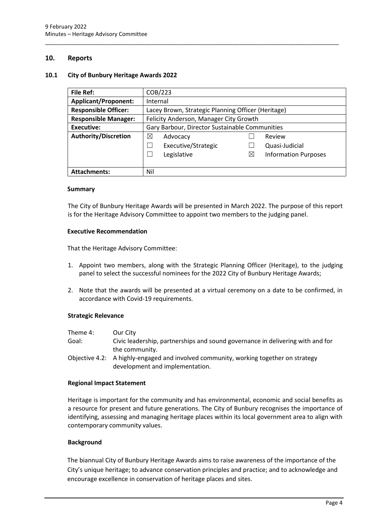#### <span id="page-6-0"></span>**10. Reports**

#### <span id="page-6-1"></span>**10.1 City of Bunbury Heritage Awards 2022**

| <b>File Ref:</b>            | COB/223                                            |          |                             |  |
|-----------------------------|----------------------------------------------------|----------|-----------------------------|--|
| <b>Applicant/Proponent:</b> | Internal                                           |          |                             |  |
| <b>Responsible Officer:</b> | Lacey Brown, Strategic Planning Officer (Heritage) |          |                             |  |
| <b>Responsible Manager:</b> | Felicity Anderson, Manager City Growth             |          |                             |  |
| Executive:                  | Gary Barbour, Director Sustainable Communities     |          |                             |  |
| <b>Authority/Discretion</b> | ⊠<br>Advocacy                                      |          | Review                      |  |
|                             | Executive/Strategic                                |          | Quasi-Judicial              |  |
|                             | Legislative                                        | $\times$ | <b>Information Purposes</b> |  |
|                             |                                                    |          |                             |  |
| <b>Attachments:</b>         | Nil                                                |          |                             |  |

\_\_\_\_\_\_\_\_\_\_\_\_\_\_\_\_\_\_\_\_\_\_\_\_\_\_\_\_\_\_\_\_\_\_\_\_\_\_\_\_\_\_\_\_\_\_\_\_\_\_\_\_\_\_\_\_\_\_\_\_\_\_\_\_\_\_\_\_\_\_\_\_\_\_\_\_\_\_\_\_\_\_\_\_\_\_\_\_\_\_\_\_\_\_

#### **Summary**

The City of Bunbury Heritage Awards will be presented in March 2022. The purpose of this report is for the Heritage Advisory Committee to appoint two members to the judging panel.

#### **Executive Recommendation**

That the Heritage Advisory Committee:

- 1. Appoint two members, along with the Strategic Planning Officer (Heritage), to the judging panel to select the successful nominees for the 2022 City of Bunbury Heritage Awards;
- 2. Note that the awards will be presented at a virtual ceremony on a date to be confirmed, in accordance with Covid-19 requirements.

#### **Strategic Relevance**

| Theme 4: | Our City                                                                       |
|----------|--------------------------------------------------------------------------------|
| Goal:    | Civic leadership, partnerships and sound governance in delivering with and for |
|          | the community.                                                                 |

Objective 4.2: A highly-engaged and involved community, working together on strategy development and implementation.

#### **Regional Impact Statement**

Heritage is important for the community and has environmental, economic and social benefits as a resource for present and future generations. The City of Bunbury recognises the importance of identifying, assessing and managing heritage places within its local government area to align with contemporary community values.

#### **Background**

The biannual City of Bunbury Heritage Awards aims to raise awareness of the importance of the City's unique heritage; to advance conservation principles and practice; and to acknowledge and encourage excellence in conservation of heritage places and sites.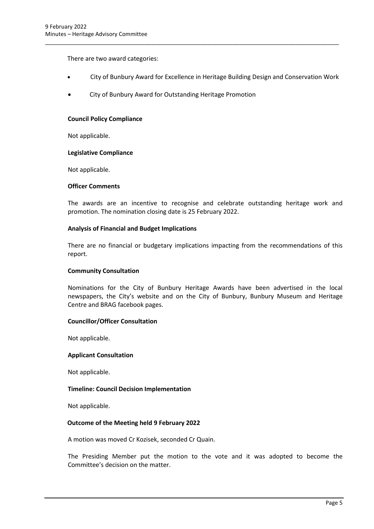There are two award categories:

• City of Bunbury Award for Excellence in Heritage Building Design and Conservation Work

\_\_\_\_\_\_\_\_\_\_\_\_\_\_\_\_\_\_\_\_\_\_\_\_\_\_\_\_\_\_\_\_\_\_\_\_\_\_\_\_\_\_\_\_\_\_\_\_\_\_\_\_\_\_\_\_\_\_\_\_\_\_\_\_\_\_\_\_\_\_\_\_\_\_\_\_\_\_\_\_\_\_\_\_\_\_\_\_\_\_\_\_\_\_

• City of Bunbury Award for Outstanding Heritage Promotion

#### **Council Policy Compliance**

Not applicable.

#### **Legislative Compliance**

Not applicable.

#### **Officer Comments**

The awards are an incentive to recognise and celebrate outstanding heritage work and promotion. The nomination closing date is 25 February 2022.

#### **Analysis of Financial and Budget Implications**

There are no financial or budgetary implications impacting from the recommendations of this report.

#### **Community Consultation**

Nominations for the City of Bunbury Heritage Awards have been advertised in the local newspapers, the City's website and on the City of Bunbury, Bunbury Museum and Heritage Centre and BRAG facebook pages.

#### **Councillor/Officer Consultation**

Not applicable.

#### **Applicant Consultation**

Not applicable.

#### **Timeline: Council Decision Implementation**

Not applicable.

#### **Outcome of the Meeting held 9 February 2022**

A motion was moved Cr Kozisek, seconded Cr Quain.

The Presiding Member put the motion to the vote and it was adopted to become the Committee's decision on the matter.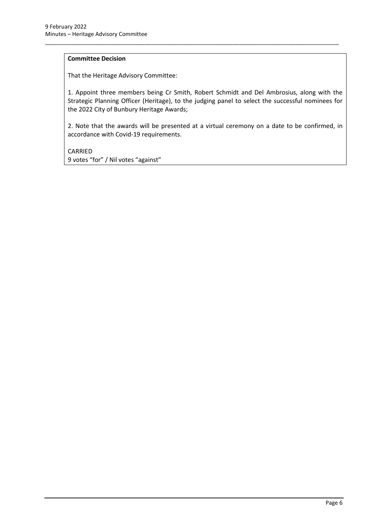## **Committee Decision**

That the Heritage Advisory Committee:

1. Appoint three members being Cr Smith, Robert Schmidt and Del Ambrosius, along with the Strategic Planning Officer (Heritage), to the judging panel to select the successful nominees for the 2022 City of Bunbury Heritage Awards;

\_\_\_\_\_\_\_\_\_\_\_\_\_\_\_\_\_\_\_\_\_\_\_\_\_\_\_\_\_\_\_\_\_\_\_\_\_\_\_\_\_\_\_\_\_\_\_\_\_\_\_\_\_\_\_\_\_\_\_\_\_\_\_\_\_\_\_\_\_\_\_\_\_\_\_\_\_\_\_\_\_\_\_\_\_\_\_\_\_\_\_\_\_\_

2. Note that the awards will be presented at a virtual ceremony on a date to be confirmed, in accordance with Covid-19 requirements.

CARRIED 9 votes "for" / Nil votes "against"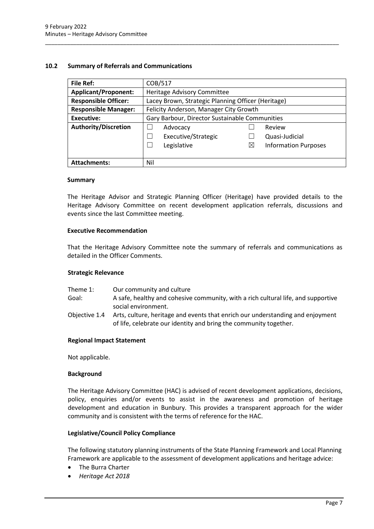#### <span id="page-9-0"></span>**10.2 Summary of Referrals and Communications**

| <b>File Ref:</b>                                             | COB/517                                            |             |                             |  |
|--------------------------------------------------------------|----------------------------------------------------|-------------|-----------------------------|--|
| <b>Applicant/Proponent:</b>                                  | Heritage Advisory Committee                        |             |                             |  |
| <b>Responsible Officer:</b>                                  | Lacey Brown, Strategic Planning Officer (Heritage) |             |                             |  |
| <b>Responsible Manager:</b>                                  | Felicity Anderson, Manager City Growth             |             |                             |  |
| Gary Barbour, Director Sustainable Communities<br>Executive: |                                                    |             |                             |  |
| <b>Authority/Discretion</b>                                  | Advocacy                                           |             | Review                      |  |
|                                                              | Executive/Strategic                                |             | Quasi-Judicial              |  |
|                                                              | Legislative                                        | $\boxtimes$ | <b>Information Purposes</b> |  |
|                                                              |                                                    |             |                             |  |
| <b>Attachments:</b>                                          | Nil                                                |             |                             |  |

\_\_\_\_\_\_\_\_\_\_\_\_\_\_\_\_\_\_\_\_\_\_\_\_\_\_\_\_\_\_\_\_\_\_\_\_\_\_\_\_\_\_\_\_\_\_\_\_\_\_\_\_\_\_\_\_\_\_\_\_\_\_\_\_\_\_\_\_\_\_\_\_\_\_\_\_\_\_\_\_\_\_\_\_\_\_\_\_\_\_\_\_\_\_

#### **Summary**

The Heritage Advisor and Strategic Planning Officer (Heritage) have provided details to the Heritage Advisory Committee on recent development application referrals, discussions and events since the last Committee meeting.

#### **Executive Recommendation**

That the Heritage Advisory Committee note the summary of referrals and communications as detailed in the Officer Comments.

#### **Strategic Relevance**

- Theme 1: Our community and culture
- Goal: A safe, healthy and cohesive community, with a rich cultural life, and supportive social environment.
- Objective 1.4 Arts, culture, heritage and events that enrich our understanding and enjoyment of life, celebrate our identity and bring the community together.

#### **Regional Impact Statement**

Not applicable.

#### **Background**

The Heritage Advisory Committee (HAC) is advised of recent development applications, decisions, policy, enquiries and/or events to assist in the awareness and promotion of heritage development and education in Bunbury. This provides a transparent approach for the wider community and is consistent with the terms of reference for the HAC.

#### **Legislative/Council Policy Compliance**

The following statutory planning instruments of the State Planning Framework and Local Planning Framework are applicable to the assessment of development applications and heritage advice:

- The Burra Charter
- *Heritage Act 2018*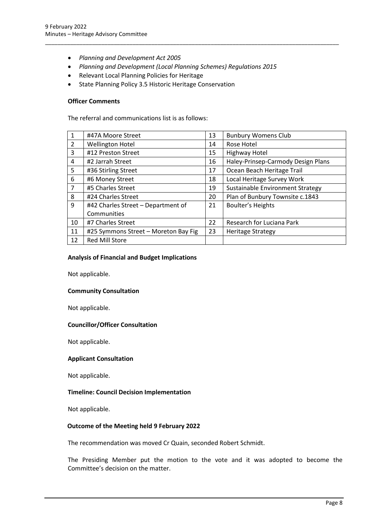- *Planning and Development Act 2005*
- *Planning and Development (Local Planning Schemes) Regulations 2015*

\_\_\_\_\_\_\_\_\_\_\_\_\_\_\_\_\_\_\_\_\_\_\_\_\_\_\_\_\_\_\_\_\_\_\_\_\_\_\_\_\_\_\_\_\_\_\_\_\_\_\_\_\_\_\_\_\_\_\_\_\_\_\_\_\_\_\_\_\_\_\_\_\_\_\_\_\_\_\_\_\_\_\_\_\_\_\_\_\_\_\_\_\_\_

- Relevant Local Planning Policies for Heritage
- State Planning Policy 3.5 Historic Heritage Conservation

#### **Officer Comments**

The referral and communications list is as follows:

| $\mathbf{1}$   | #47A Moore Street                    | 13 | <b>Bunbury Womens Club</b>         |
|----------------|--------------------------------------|----|------------------------------------|
| $\overline{2}$ | <b>Wellington Hotel</b>              | 14 | Rose Hotel                         |
| 3              | #12 Preston Street                   | 15 | <b>Highway Hotel</b>               |
| 4              | #2 Jarrah Street                     | 16 | Haley-Prinsep-Carmody Design Plans |
| 5              | #36 Stirling Street                  | 17 | Ocean Beach Heritage Trail         |
| 6              | #6 Money Street                      | 18 | Local Heritage Survey Work         |
| $\overline{7}$ | #5 Charles Street                    | 19 | Sustainable Environment Strategy   |
| 8              | #24 Charles Street                   | 20 | Plan of Bunbury Townsite c.1843    |
| 9              | #42 Charles Street - Department of   | 21 | Boulter's Heights                  |
|                | Communities                          |    |                                    |
| 10             | #7 Charles Street                    | 22 | Research for Luciana Park          |
| 11             | #25 Symmons Street - Moreton Bay Fig | 23 | <b>Heritage Strategy</b>           |
| 12             | <b>Red Mill Store</b>                |    |                                    |

#### **Analysis of Financial and Budget Implications**

Not applicable.

#### **Community Consultation**

Not applicable.

#### **Councillor/Officer Consultation**

Not applicable.

#### **Applicant Consultation**

Not applicable.

#### **Timeline: Council Decision Implementation**

Not applicable.

#### **Outcome of the Meeting held 9 February 2022**

The recommendation was moved Cr Quain, seconded Robert Schmidt.

The Presiding Member put the motion to the vote and it was adopted to become the Committee's decision on the matter.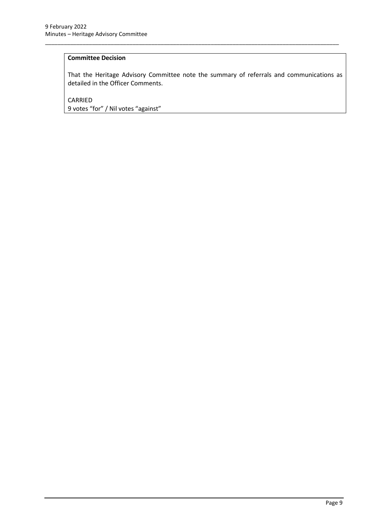## **Committee Decision**

That the Heritage Advisory Committee note the summary of referrals and communications as detailed in the Officer Comments.

\_\_\_\_\_\_\_\_\_\_\_\_\_\_\_\_\_\_\_\_\_\_\_\_\_\_\_\_\_\_\_\_\_\_\_\_\_\_\_\_\_\_\_\_\_\_\_\_\_\_\_\_\_\_\_\_\_\_\_\_\_\_\_\_\_\_\_\_\_\_\_\_\_\_\_\_\_\_\_\_\_\_\_\_\_\_\_\_\_\_\_\_\_\_

CARRIED 9 votes "for" / Nil votes "against"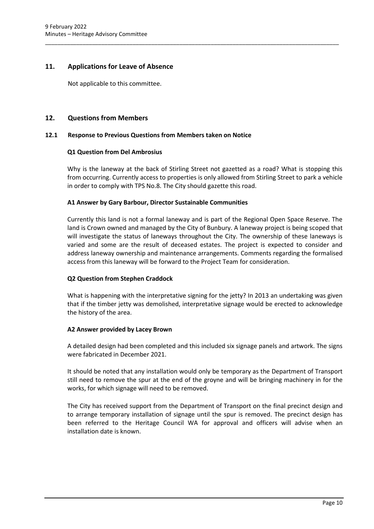## <span id="page-12-0"></span>**11. Applications for Leave of Absence**

Not applicable to this committee.

#### <span id="page-12-1"></span>**12. Questions from Members**

#### <span id="page-12-2"></span>**12.1 Response to Previous Questions from Members taken on Notice**

#### **Q1 Question from Del Ambrosius**

Why is the laneway at the back of Stirling Street not gazetted as a road? What is stopping this from occurring. Currently access to properties is only allowed from Stirling Street to park a vehicle in order to comply with TPS No.8. The City should gazette this road.

\_\_\_\_\_\_\_\_\_\_\_\_\_\_\_\_\_\_\_\_\_\_\_\_\_\_\_\_\_\_\_\_\_\_\_\_\_\_\_\_\_\_\_\_\_\_\_\_\_\_\_\_\_\_\_\_\_\_\_\_\_\_\_\_\_\_\_\_\_\_\_\_\_\_\_\_\_\_\_\_\_\_\_\_\_\_\_\_\_\_\_\_\_\_

#### **A1 Answer by Gary Barbour, Director Sustainable Communities**

Currently this land is not a formal laneway and is part of the Regional Open Space Reserve. The land is Crown owned and managed by the City of Bunbury. A laneway project is being scoped that will investigate the status of laneways throughout the City. The ownership of these laneways is varied and some are the result of deceased estates. The project is expected to consider and address laneway ownership and maintenance arrangements. Comments regarding the formalised access from this laneway will be forward to the Project Team for consideration.

#### **Q2 Question from Stephen Craddock**

What is happening with the interpretative signing for the jetty? In 2013 an undertaking was given that if the timber jetty was demolished, interpretative signage would be erected to acknowledge the history of the area.

#### **A2 Answer provided by Lacey Brown**

A detailed design had been completed and this included six signage panels and artwork. The signs were fabricated in December 2021.

It should be noted that any installation would only be temporary as the Department of Transport still need to remove the spur at the end of the groyne and will be bringing machinery in for the works, for which signage will need to be removed.

The City has received support from the Department of Transport on the final precinct design and to arrange temporary installation of signage until the spur is removed. The precinct design has been referred to the Heritage Council WA for approval and officers will advise when an installation date is known.